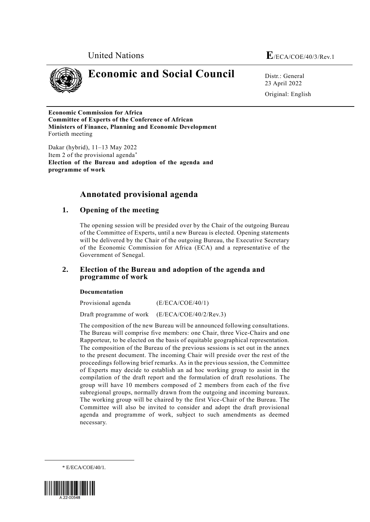



# **Economic and Social Council** Distr.: General

23 April 2022 Original: English

**Economic Commission for Africa Committee of Experts of the Conference of African Ministers of Finance, Planning and Economic Development** Fortieth meeting

Dakar (hybrid), 11–13 May 2022 Item 2 of the provisional agenda **Election of the Bureau and adoption of the agenda and programme of work**

## **Annotated provisional agenda**

## **1. Opening of the meeting**

The opening session will be presided over by the Chair of the outgoing Bureau of the Committee of Experts, until a new Bureau is elected. Opening statements will be delivered by the Chair of the outgoing Bureau, the Executive Secretary of the Economic Commission for Africa (ECA) and a representative of the Government of Senegal.

## **2. Election of the Bureau and adoption of the agenda and programme of work**

## **Documentation**

Provisional agenda (E/ECA/COE/40/1) Draft programme of work (E/ECA/COE/40/2/Rev.3)

The composition of the new Bureau will be announced following consultations. The Bureau will comprise five members: one Chair, three Vice-Chairs and one Rapporteur, to be elected on the basis of equitable geographical representation. The composition of the Bureau of the previous sessions is set out in the annex to the present document. The incoming Chair will preside over the rest of the proceedings following brief remarks. As in the previous session, the Committee of Experts may decide to establish an ad hoc working group to assist in the compilation of the draft report and the formulation of draft resolutions. The group will have 10 members composed of 2 members from each of the five subregional groups, normally drawn from the outgoing and incoming bureaux. The working group will be chaired by the first Vice-Chair of the Bureau. The Committee will also be invited to consider and adopt the draft provisional agenda and programme of work, subject to such amendments as deemed necessary.

\* E/ECA/COE/40/1.



1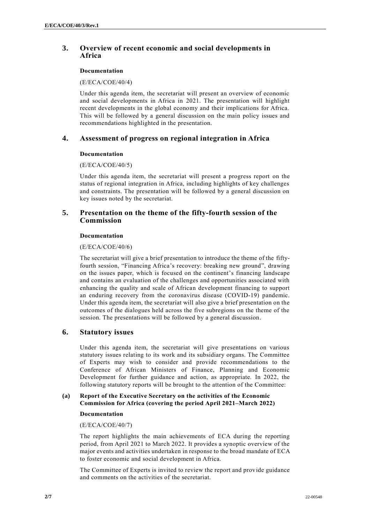## **3. Overview of recent economic and social developments in Africa**

## **Documentation**

## (E/ECA/COE/40/4)

Under this agenda item, the secretariat will present an overview of economic and social developments in Africa in 2021. The presentation will highlight recent developments in the global economy and their implications for Africa. This will be followed by a general discussion on the main policy issues and recommendations highlighted in the presentation.

## **4. Assessment of progress on regional integration in Africa**

## **Documentation**

## (E/ECA/COE/40/5)

Under this agenda item, the secretariat will present a progress report on the status of regional integration in Africa, including highlights of key challenges and constraints. The presentation will be followed by a general discussion on key issues noted by the secretariat.

## **5. Presentation on the theme of the fifty-fourth session of the Commission**

## **Documentation**

## (E/ECA/COE/40/6)

The secretariat will give a brief presentation to introduce the theme of the fiftyfourth session, "Financing Africa's recovery: breaking new ground", drawing on the issues paper, which is focused on the continent's financing landscape and contains an evaluation of the challenges and opportunities associated with enhancing the quality and scale of African development financing to support an enduring recovery from the coronavirus disease (COVID-19) pandemic. Under this agenda item, the secretariat will also give a brief presentation on the outcomes of the dialogues held across the five subregions on the theme of the session. The presentations will be followed by a general discussion.

## **6. Statutory issues**

Under this agenda item, the secretariat will give presentations on various statutory issues relating to its work and its subsidiary organs. The Committee of Experts may wish to consider and provide recommendations to the Conference of African Ministers of Finance, Planning and Economic Development for further guidance and action, as appropriate. In 2022, the following statutory reports will be brought to the attention of the Committee:

## **(a) Report of the Executive Secretary on the activities of the Economic Commission for Africa (covering the period April 2021–March 2022)**

## **Documentation**

## (E/ECA/COE/40/7)

The report highlights the main achievements of ECA during the reporting period, from April 2021 to March 2022. It provides a synoptic overview of the major events and activities undertaken in response to the broad mandate of ECA to foster economic and social development in Africa.

The Committee of Experts is invited to review the report and provide guidance and comments on the activities of the secretariat.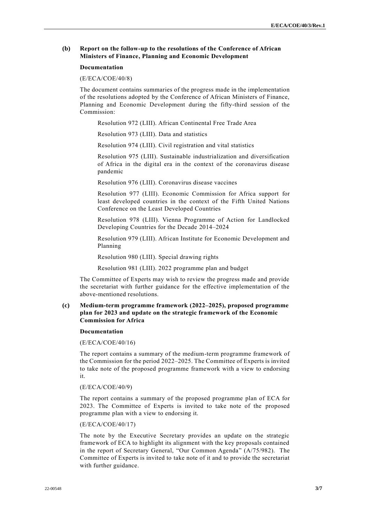#### **(b) Report on the follow-up to the resolutions of the Conference of African Ministers of Finance, Planning and Economic Development**

#### **Documentation**

#### (E/ECA/COE/40/8)

The document contains summaries of the progress made in the implementation of the resolutions adopted by the Conference of African Ministers of Finance, Planning and Economic Development during the fifty-third session of the Commission:

Resolution 972 (LIII). African Continental Free Trade Area

Resolution 973 (LIII). Data and statistics

Resolution 974 (LIII). Civil registration and vital statistics

Resolution 975 (LIII). Sustainable industrialization and diversification of Africa in the digital era in the context of the coronavirus disease pandemic

Resolution 976 (LIII). Coronavirus disease vaccines

Resolution 977 (LIII). Economic Commission for Africa support for least developed countries in the context of the Fifth United Nations Conference on the Least Developed Countries

Resolution 978 (LIII). Vienna Programme of Action for Landlocked Developing Countries for the Decade 2014–2024

Resolution 979 (LIII). African Institute for Economic Development and Planning

Resolution 980 (LIII). Special drawing rights

Resolution 981 (LIII). 2022 programme plan and budget

The Committee of Experts may wish to review the progress made and provide the secretariat with further guidance for the effective implementation of the above-mentioned resolutions.

#### **(c) Medium-term programme framework (2022–2025), proposed programme plan for 2023 and update on the strategic framework of the Economic Commission for Africa**

#### **Documentation**

(E/ECA/COE/40/16)

The report contains a summary of the medium-term programme framework of the Commission for the period 2022–2025. The Committee of Experts is invited to take note of the proposed programme framework with a view to endorsing it.

#### (E/ECA/COE/40/9)

The report contains a summary of the proposed programme plan of ECA for 2023. The Committee of Experts is invited to take note of the proposed programme plan with a view to endorsing it.

#### (E/ECA/COE/40/17)

The note by the Executive Secretary provides an update on the strategic framework of ECA to highlight its alignment with the key proposals contained in the report of Secretary General, "Our Common Agenda" (A/75/982). The Committee of Experts is invited to take note of it and to provide the secretariat with further guidance.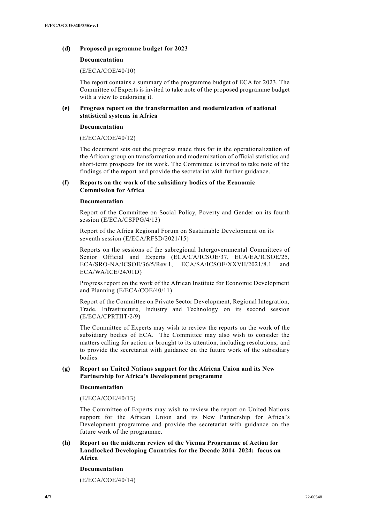#### **(d) Proposed programme budget for 2023**

#### **Documentation**

(E/ECA/COE/40/10)

The report contains a summary of the programme budget of ECA for 2023. The Committee of Experts is invited to take note of the proposed programme budget with a view to endorsing it.

#### **(e) Progress report on the transformation and modernization of national statistical systems in Africa**

#### **Documentation**

(E/ECA/COE/40/12)

The document sets out the progress made thus far in the operationalization of the African group on transformation and modernization of official statistics and short-term prospects for its work. The Committee is invited to take note of the findings of the report and provide the secretariat with further guidance.

#### **(f) Reports on the work of the subsidiary bodies of the Economic Commission for Africa**

#### **Documentation**

Report of the Committee on Social Policy, Poverty and Gender on its fourth session (E/ECA/CSPPG/4/13)

Report of the Africa Regional Forum on Sustainable Development on its seventh session (E/ECA/RFSD/2021/15)

Reports on the sessions of the subregional Intergovernmental Committees of Senior Official and Experts (ECA/CA/ICSOE/37, ECA/EA/ICSOE/25, ECA/SRO-NA/ICSOE/36/5/Rev.1, ECA/SA/ICSOE/XXVII/2021/8.1 and ECA/WA/ICE/24/01D)

Progress report on the work of the African Institute for Economic Development and Planning (E/ECA/COE/40/11)

Report of the Committee on Private Sector Development, Regional Integration, Trade, Infrastructure, Industry and Technology on its second session (E/ECA/CPRTIIT/2/9)

The Committee of Experts may wish to review the reports on the work of the subsidiary bodies of ECA. The Committee may also wish to consider the matters calling for action or brought to its attention, including resolutions, and to provide the secretariat with guidance on the future work of the subsidiary bodies.

## **(g) Report on United Nations support for the African Union and its New Partnership for Africa's Development programme**

#### **Documentation**

(E/ECA/COE/40/13)

The Committee of Experts may wish to review the report on United Nations support for the African Union and its New Partnership for Africa 's Development programme and provide the secretariat with guidance on the future work of the programme.

## **(h) Report on the midterm review of the Vienna Programme of Action for Landlocked Developing Countries for the Decade 2014–2024: focus on Africa**

#### **Documentation**

(E/ECA/COE/40/14)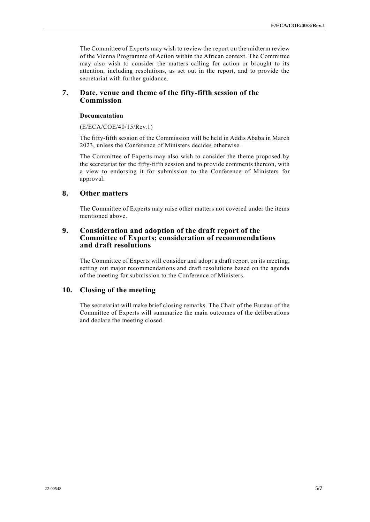The Committee of Experts may wish to review the report on the midterm review of the Vienna Programme of Action within the African context. The Committee may also wish to consider the matters calling for action or brought to its attention, including resolutions, as set out in the report, and to provide the secretariat with further guidance.

## **7. Date, venue and theme of the fifty-fifth session of the Commission**

## **Documentation**

(E/ECA/COE/40/15/Rev.1)

The fifty-fifth session of the Commission will be held in Addis Ababa in March 2023, unless the Conference of Ministers decides otherwise.

The Committee of Experts may also wish to consider the theme proposed by the secretariat for the fifty-fifth session and to provide comments thereon, with a view to endorsing it for submission to the Conference of Ministers for approval.

## **8. Other matters**

The Committee of Experts may raise other matters not covered under the items mentioned above.

## **9. Consideration and adoption of the draft report of the Committee of Experts; consideration of recommendations and draft resolutions**

The Committee of Experts will consider and adopt a draft report on its meeting, setting out major recommendations and draft resolutions based on the agenda of the meeting for submission to the Conference of Ministers.

## **10. Closing of the meeting**

The secretariat will make brief closing remarks. The Chair of the Bureau of the Committee of Experts will summarize the main outcomes of the deliberations and declare the meeting closed.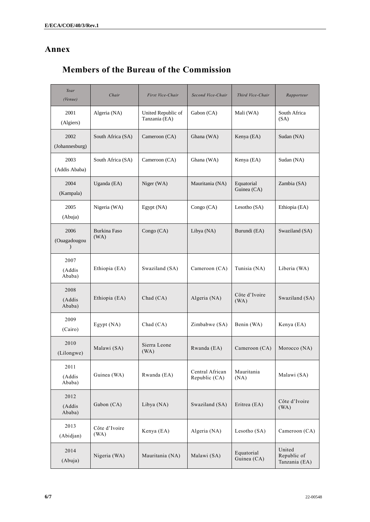## **Annex**

## **Members of the Bureau of the Commission**

| Year<br>(Venue)                   | Chair                 | First Vice-Chair                    | Second Vice-Chair                | Third Vice-Chair          | Rapporteur                             |
|-----------------------------------|-----------------------|-------------------------------------|----------------------------------|---------------------------|----------------------------------------|
| 2001<br>(Algiers)                 | Algeria (NA)          | United Republic of<br>Tanzania (EA) | Gabon (CA)                       | Mali (WA)                 | South Africa<br>(SA)                   |
| 2002<br>(Johannesburg)            | South Africa (SA)     | Cameroon (CA)                       | Ghana (WA)                       | Kenya (EA)                | Sudan (NA)                             |
| 2003<br>(Addis Ababa)             | South Africa (SA)     | Cameroon (CA)                       | Ghana (WA)                       | Kenya (EA)                | Sudan (NA)                             |
| 2004<br>(Kampala)                 | Uganda (EA)           | Niger (WA)                          | Mauritania (NA)                  | Equatorial<br>Guinea (CA) | Zambia (SA)                            |
| 2005<br>(Abuja)                   | Nigeria (WA)          | Egypt (NA)                          | Congo (CA)                       | Lesotho (SA)              | Ethiopia (EA)                          |
| 2006<br>(Ouagadougou<br>$\lambda$ | Burkina Faso<br>(WA)  | Congo (CA)                          | Libya (NA)                       | Burundi (EA)              | Swaziland (SA)                         |
| 2007<br>(Addis<br>Ababa)          | Ethiopia (EA)         | Swaziland (SA)                      | Cameroon (CA)                    | Tunisia (NA)              | Liberia (WA)                           |
| 2008<br>(Addis<br>Ababa)          | Ethiopia (EA)         | Chad (CA)                           | Algeria (NA)                     | Côte d'Ivoire<br>(WA)     | Swaziland (SA)                         |
| 2009<br>(Cairo)                   | Egypt(NA)             | Chad (CA)                           | Zimbabwe (SA)                    | Benin (WA)                | Kenya (EA)                             |
| 2010<br>(Lilongwe)                | Malawi (SA)           | Sierra Leone<br>(WA)                | Rwanda (EA)                      | Cameroon (CA)             | Morocco (NA)                           |
| 2011<br>(Addis<br>Ababa)          | Guinea (WA)           | Rwanda (EA)                         | Central African<br>Republic (CA) | Mauritania<br>(NA)        | Malawi (SA)                            |
| 2012<br>(Addis<br>Ababa)          | Gabon (CA)            | Libya (NA)                          | Swaziland (SA)                   | Eritrea (EA)              | Côte d'Ivoire<br>(WA)                  |
| 2013<br>(Abidjan)                 | Côte d'Ivoire<br>(WA) | Kenya (EA)                          | Algeria (NA)                     | Lesotho (SA)              | Cameroon (CA)                          |
| 2014<br>(Abuja)                   | Nigeria (WA)          | Mauritania (NA)                     | Malawi (SA)                      | Equatorial<br>Guinea (CA) | United<br>Republic of<br>Tanzania (EA) |